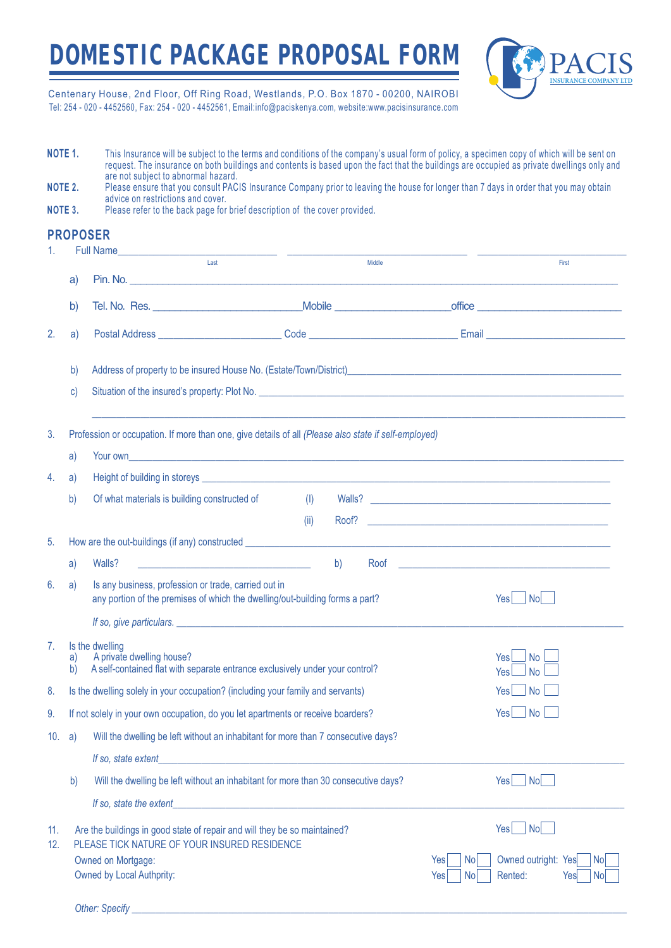

Centenary House, 2nd Floor, Off Ring Road, Westlands, P.O. Box 1870 - 00200, NAIROBI Tel: 254 - 020 - 4452560, Fax: 254 - 020 - 4452561, Email:info@paciskenya.com, website:www.pacisinsurance.com

**NOTE 1. NOTE 2. NOTE 3.** This Insurance will be subject to the terms and conditions of the company's usual form of policy, a specimen copy of which will be sent on request. The insurance on both buildings and contents is based upon the fact that the buildings are occupied as private dwellings only and are not subject to abnormal hazard. Please ensure that you consult PACIS Insurance Company prior to leaving the house for longer than 7 days in order that you may obtain advice on restrictions and cover. Please refer to the back page for brief description of the cover provided. **PROPOSER** 1. Full Name\_\_\_\_\_\_\_\_\_\_\_\_\_\_\_\_\_\_\_\_\_\_\_\_\_\_\_\_\_\_\_ \_\_\_\_\_\_\_\_\_\_\_\_\_\_\_\_\_\_\_\_\_\_\_\_\_\_\_\_\_\_\_\_\_\_\_ \_\_\_\_\_\_\_\_\_\_\_\_\_\_\_\_\_\_\_\_\_\_\_\_\_\_\_\_\_ Last Middle First a) Pin. No. \_\_\_\_\_\_\_\_\_\_\_\_\_\_\_\_\_\_\_\_\_\_\_\_\_\_\_\_\_\_\_\_\_\_\_\_\_\_\_\_\_\_\_\_\_\_\_\_\_\_\_\_\_\_\_\_\_\_\_\_\_\_\_\_\_\_\_\_\_\_\_\_\_\_\_\_\_\_\_\_\_\_\_\_\_\_\_\_ b) Tel. No. Res. Zero and the model of the model of the model of the model of the model of the model of the model of the model of the model of the model of the model of the model of the model of the model of the model of t 2. a) Postal Address **Development Code Code Email Email Email Address Email Address Code Email Address Code Email Address Code Email Address Code Email Address Code Email Address Code Code Cod** b) Address of property to be insured House No. (Estate/Town/District) c) Situation of the insured's property: Plot No.  $\mathcal{L}_\text{max} = \frac{1}{2} \sum_{i=1}^{n} \frac{1}{2} \sum_{i=1}^{n} \frac{1}{2} \sum_{i=1}^{n} \frac{1}{2} \sum_{i=1}^{n} \frac{1}{2} \sum_{i=1}^{n} \frac{1}{2} \sum_{i=1}^{n} \frac{1}{2} \sum_{i=1}^{n} \frac{1}{2} \sum_{i=1}^{n} \frac{1}{2} \sum_{i=1}^{n} \frac{1}{2} \sum_{i=1}^{n} \frac{1}{2} \sum_{i=1}^{n} \frac{1}{2} \sum_{i=1}^{n} \frac{1$ 3. Profession or occupation. If more than one, give details of all *(Please also state if self-employed)* a) Your own\_\_\_\_\_\_\_\_\_\_\_\_\_\_\_\_\_\_\_\_\_\_\_\_\_\_\_\_\_\_\_\_\_\_\_\_\_\_\_\_\_\_\_\_\_\_\_\_\_\_\_\_\_\_\_\_\_\_\_\_\_\_\_\_\_\_\_\_\_\_\_\_\_\_\_\_\_\_\_\_\_\_\_\_\_\_\_\_\_\_\_\_\_\_\_\_\_\_\_\_\_\_\_ 4. a) Height of building in storeys b) Of what materials is building constructed of  $(1)$  Walls? (ii) Roof? \_\_\_\_\_\_\_\_\_\_\_\_\_\_\_\_\_\_\_\_\_\_\_\_\_\_\_\_\_\_\_\_\_\_\_\_\_\_\_\_\_\_\_\_\_\_\_\_\_\_ 5. How are the out-buildings (if any) constructed \_\_\_\_\_\_\_\_\_\_\_\_\_\_\_\_\_\_\_\_\_\_\_\_\_\_\_\_\_\_ a) Walls? \_\_\_\_\_\_\_\_\_\_\_\_\_\_\_\_\_\_\_\_\_\_\_\_\_\_\_\_\_\_\_\_\_\_\_\_ b) Roof \_\_\_\_\_\_\_\_\_\_\_\_\_\_\_\_\_\_\_\_\_\_\_\_\_\_\_\_\_\_\_\_\_\_\_\_\_\_\_\_\_\_\_\_ 6. a) Is any business, profession or trade, carried out in any portion of the premises of which the dwelling/out-building forms a part? *If so, give particulars.*  $\blacksquare$  $Yes$  No 7. Is the dwelling a) A private dwelling house? b) A self-contained flat with separate entrance exclusively under your control?  $Yes$   $No$  $Y_{PS}$  No  $Yes \Box No$  $Yes \Box No$ 8. Is the dwelling solely in your occupation? (including your family and servants) 9. If not solely in your own occupation, do you let apartments or receive boarders? 10. a) Will the dwelling be left without an inhabitant for more than 7 consecutive days? *If so, state extent* b) Will the dwelling be left without an inhabitant for more than 30 consecutive days? *If so, state the extent*  $Yes \Box No \Box$ 11. Are the buildings in good state of repair and will they be so maintained? 12. PLEASE TICK NATURE OF YOUR INSURED RESIDENCE  $Yes \Box No \Box$ Owned on Mortgage: Owned by Local Authprity: Yes No Owned outright: Yes No Yes No Rented: Yes No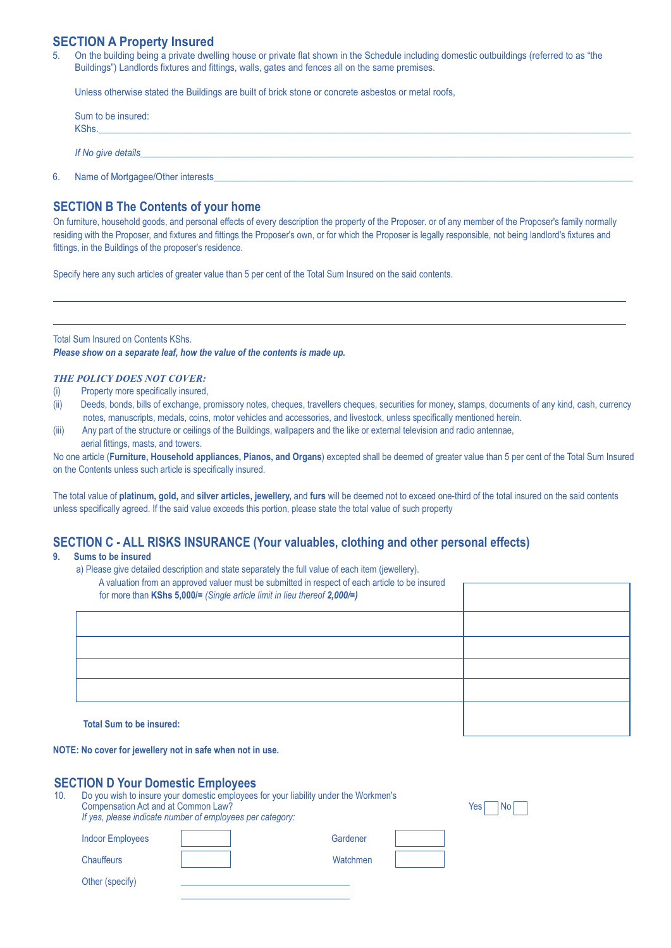# **SECTION A Property Insured**<br>5. On the building being a private dwe

On the building being a private dwelling house or private flat shown in the Schedule including domestic outbuildings (referred to as "the Buildings") Landlords fixtures and fittings, walls, gates and fences all on the same premises.

Unless otherwise stated the Buildings are built of brick stone or concrete asbestos or metal roofs,

| Sum to be insured:<br>KShs. |  |  |  |
|-----------------------------|--|--|--|
| If No give details_         |  |  |  |

6. Name of Mortgagee/Other interests

# **SECTION B The Contents of your home**

On furniture, household goods, and personal effects of every description the property of the Proposer. or of any member of the Proposer's family normally residing with the Proposer, and fixtures and fittings the Proposer's own, or for which the Proposer is legally responsible, not being landlord's fixtures and fittings, in the Buildings of the proposer's residence.

Specify here any such articles of greater value than 5 per cent of the Total Sum Insured on the said contents.

Total Sum Insured on Contents KShs. *Please show on a separate leaf, how the value of the contents is made up.*

#### *THE POLICY DOES NOT COVER:*

- (i) Property more specifically insured,
- (ii) Deeds, bonds, bills of exchange, promissory notes, cheques, travellers cheques, securities for money, stamps, documents of any kind, cash, currency notes, manuscripts, medals, coins, motor vehicles and accessories, and livestock, unless specifically mentioned herein.
- (iii) Any part of the structure or ceilings of the Buildings, wallpapers and the like or external television and radio antennae, aerial fittings, masts, and towers.

No one article (**Furniture, Household appliances, Pianos, and Organs**) excepted shall be deemed of greater value than 5 per cent of the Total Sum Insured on the Contents unless such article is specifically insured.

The total value of **platinum, gold,** and **silver articles, jewellery,** and **furs** will be deemed not to exceed one-third of the total insured on the said contents unless specifically agreed. If the said value exceeds this portion, please state the total value of such property

## **SECTION C - ALL RISKS INSURANCE (Your valuables, clothing and other personal effects)**

#### **9. Sums to be insured**

a) Please give detailed description and state separately the full value of each item (jewellery).

| A valuation from an approved valuer must be submitted in respect of each article to be insured<br>for more than KShs 5,000/= (Single article limit in lieu thereof 2,000/=) |  |
|-----------------------------------------------------------------------------------------------------------------------------------------------------------------------------|--|
|                                                                                                                                                                             |  |
|                                                                                                                                                                             |  |
|                                                                                                                                                                             |  |
|                                                                                                                                                                             |  |
|                                                                                                                                                                             |  |
| <b>Total Sum to be insured:</b>                                                                                                                                             |  |

**NOTE: No cover for jewellery not in safe when not in use.**

| 10. | <b>SECTION D Your Domestic Employees</b><br>Compensation Act and at Common Law? | Do you wish to insure your domestic employees for your liability under the Workmen's<br>If yes, please indicate number of employees per category: |          | Yes<br>No. |  |
|-----|---------------------------------------------------------------------------------|---------------------------------------------------------------------------------------------------------------------------------------------------|----------|------------|--|
|     | <b>Indoor Employees</b>                                                         |                                                                                                                                                   | Gardener |            |  |
|     | <b>Chauffeurs</b>                                                               |                                                                                                                                                   | Watchmen |            |  |
|     | Other (specify)                                                                 |                                                                                                                                                   |          |            |  |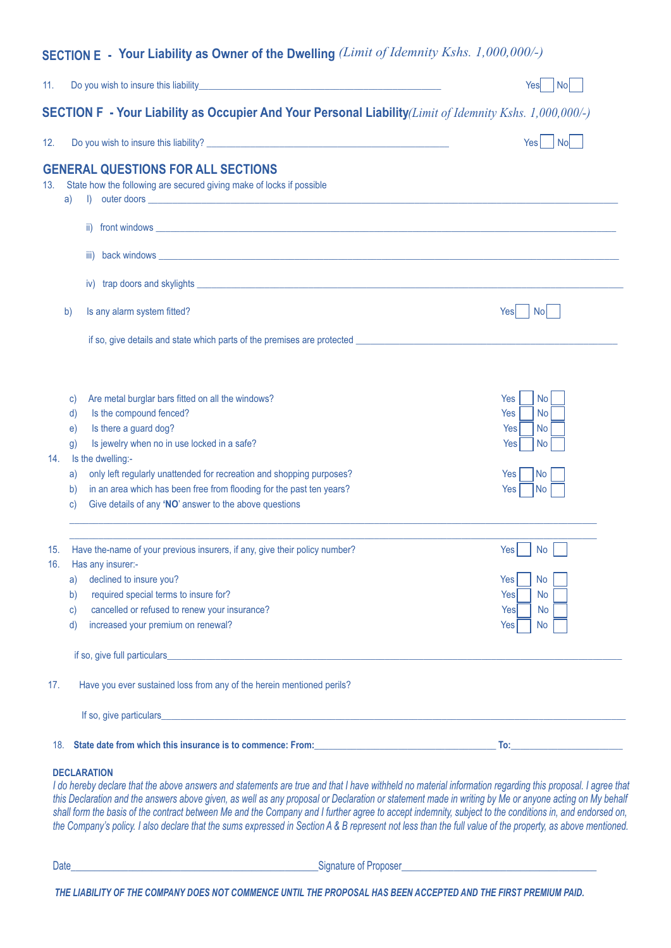# **SECTION E - Your Liability as Owner of the Dwelling** *(Limit of Idemnity Kshs. 1,000,000/-)*

| 11. |                                                                                                                                                                                                                                     | <b>No</b><br>Yes                                                |
|-----|-------------------------------------------------------------------------------------------------------------------------------------------------------------------------------------------------------------------------------------|-----------------------------------------------------------------|
|     | SECTION F - Your Liability as Occupier And Your Personal Liability(Limit of Idemnity Kshs. 1,000,000/-)                                                                                                                             |                                                                 |
| 12. |                                                                                                                                                                                                                                     | Yes<br><b>No</b>                                                |
| 13. | <b>GENERAL QUESTIONS FOR ALL SECTIONS</b><br>State how the following are secured giving make of locks if possible<br>$\mathbb{D}$<br>a)                                                                                             |                                                                 |
|     |                                                                                                                                                                                                                                     |                                                                 |
|     | $\overline{\mathsf{iii}}$                                                                                                                                                                                                           |                                                                 |
|     | iv) trap doors and skylights <b>expressions</b> and contact the contact of the contact of the contact of the contact of the contact of the contact of the contact of the contact of the contact of the contact of the contact of th |                                                                 |
|     | Is any alarm system fitted?<br>b)                                                                                                                                                                                                   | Nol<br>Yes                                                      |
|     |                                                                                                                                                                                                                                     |                                                                 |
|     | Are metal burglar bars fitted on all the windows?<br>C)<br>Is the compound fenced?<br>d)<br>Is there a guard dog?<br>e)                                                                                                             | No<br>Yes<br>Yes<br>No.<br>Yes<br>No.                           |
| 14. | Is jewelry when no in use locked in a safe?<br>$\mathfrak{g}$ )<br>Is the dwelling:-                                                                                                                                                | Yes<br>No                                                       |
|     | only left regularly unattended for recreation and shopping purposes?<br>a)<br>in an area which has been free from flooding for the past ten years?<br>b)<br>Give details of any 'NO' answer to the above questions<br>C)            | No<br>Yes<br>Yes<br>No                                          |
| 15. | Have the-name of your previous insurers, if any, give their policy number?                                                                                                                                                          | No<br>Yes                                                       |
| 16. | Has any insurer:-<br>a) declined to insure you?<br>required special terms to insure for?<br>b)<br>cancelled or refused to renew your insurance?<br>$\mathsf{c}$<br>increased your premium on renewal?<br>$\mathsf{d}$               | <b>No</b><br>Yes<br>Yes<br>No.<br><b>No</b><br>Yes<br>Yes<br>No |
|     | if so, give full particulars experience and the control of the control of the control of the control of the control of the control of the control of the control of the control of the control of the control of the control o      |                                                                 |
| 17. | Have you ever sustained loss from any of the herein mentioned perils?                                                                                                                                                               |                                                                 |
|     |                                                                                                                                                                                                                                     |                                                                 |
|     |                                                                                                                                                                                                                                     | <b>To:__________________________</b>                            |

*this Declaration and the answers above given, as well as any proposal or Declaration or statement made in writing by Me or anyone acting on My behalf shall form the basis of the contract between Me and the Company and I further agree to accept indemnity, subject to the conditions in, and endorsed on, the Company's policy. I also declare that the sums expressed in Section A & B represent not less than the full value of the property, as above mentioned.* 

Date\_\_\_\_\_\_\_\_\_\_\_\_\_\_\_\_\_\_\_\_\_\_\_\_\_\_\_\_\_\_\_\_\_\_\_\_\_\_\_\_\_\_\_\_\_\_\_\_\_\_\_\_Signature of Proposer\_\_\_\_\_\_\_\_\_\_\_\_\_\_\_\_\_\_\_\_\_\_\_\_\_\_\_\_\_\_\_\_\_\_\_\_\_\_\_\_\_

*THE LIABILITY OF THE COMPANY DOES NOT COMMENCE UNTIL THE PROPOSAL HAS BEEN ACCEPTED AND THE FIRST PREMIUM PAID.*